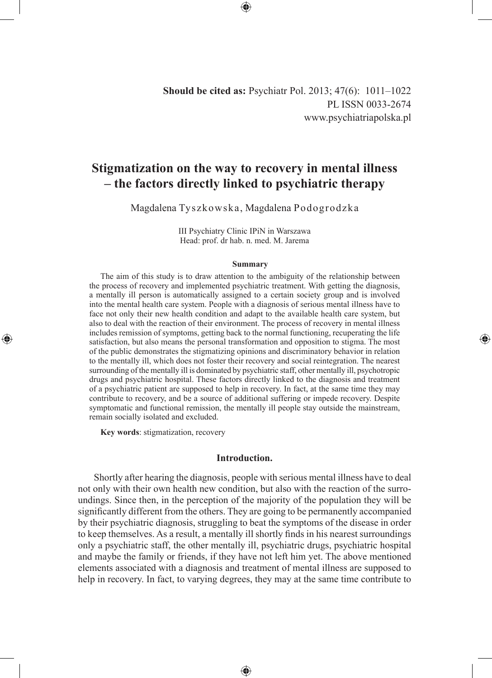**Should be cited as:** Psychiatr Pol. 2013; 47(6): 1011–1022 PL ISSN 0033-2674 www.psychiatriapolska.pl

# **Stigmatization on the way to recovery in mental illness – the factors directly linked to psychiatric therapy**

Magdalena Tyszkowska, Magdalena Podogrodzka

III Psychiatry Clinic IPiN in Warszawa Head: prof. dr hab. n. med. M. Jarema

#### **Summary**

The aim of this study is to draw attention to the ambiguity of the relationship between the process of recovery and implemented psychiatric treatment. With getting the diagnosis, a mentally ill person is automatically assigned to a certain society group and is involved into the mental health care system. People with a diagnosis of serious mental illness have to face not only their new health condition and adapt to the available health care system, but also to deal with the reaction of their environment. The process of recovery in mental illness includes remission of symptoms, getting back to the normal functioning, recuperating the life satisfaction, but also means the personal transformation and opposition to stigma. The most of the public demonstrates the stigmatizing opinions and discriminatory behavior in relation to the mentally ill, which does not foster their recovery and social reintegration. The nearest surrounding of the mentally ill is dominated by psychiatric staff, other mentally ill, psychotropic drugs and psychiatric hospital. These factors directly linked to the diagnosis and treatment of a psychiatric patient are supposed to help in recovery. In fact, at the same time they may contribute to recovery, and be a source of additional suffering or impede recovery. Despite symptomatic and functional remission, the mentally ill people stay outside the mainstream, remain socially isolated and excluded.

◈

**Key words**: stigmatization, recovery

◈

# **Introduction.**

 Shortly after hearing the diagnosis, people with serious mental illness have to deal not only with their own health new condition, but also with the reaction of the surroundings. Since then, in the perception of the majority of the population they will be significantly different from the others. They are going to be permanently accompanied by their psychiatric diagnosis, struggling to beat the symptoms of the disease in order to keep themselves. As a result, a mentally ill shortly finds in his nearest surroundings only a psychiatric staff, the other mentally ill, psychiatric drugs, psychiatric hospital and maybe the family or friends, if they have not left him yet. The above mentioned elements associated with a diagnosis and treatment of mental illness are supposed to help in recovery. In fact, to varying degrees, they may at the same time contribute to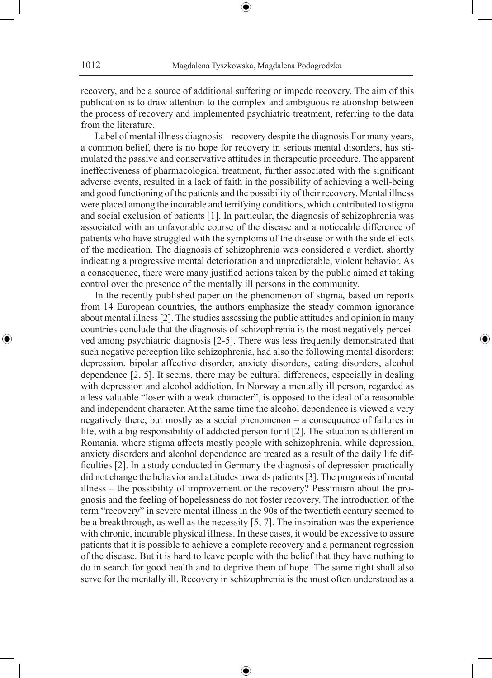recovery, and be a source of additional suffering or impede recovery. The aim of this publication is to draw attention to the complex and ambiguous relationship between the process of recovery and implemented psychiatric treatment, referring to the data from the literature.

Label of mental illness diagnosis – recovery despite the diagnosis.For many years, a common belief, there is no hope for recovery in serious mental disorders, has stimulated the passive and conservative attitudes in therapeutic procedure. The apparent ineffectiveness of pharmacological treatment, further associated with the significant adverse events, resulted in a lack of faith in the possibility of achieving a well-being and good functioning of the patients and the possibility of their recovery. Mental illness were placed among the incurable and terrifying conditions, which contributed to stigma and social exclusion of patients [1]. In particular, the diagnosis of schizophrenia was associated with an unfavorable course of the disease and a noticeable difference of patients who have struggled with the symptoms of the disease or with the side effects of the medication. The diagnosis of schizophrenia was considered a verdict, shortly indicating a progressive mental deterioration and unpredictable, violent behavior. As a consequence, there were many justified actions taken by the public aimed at taking control over the presence of the mentally ill persons in the community.

In the recently published paper on the phenomenon of stigma, based on reports from 14 European countries, the authors emphasize the steady common ignorance about mental illness [2]. The studies assessing the public attitudes and opinion in many countries conclude that the diagnosis of schizophrenia is the most negatively perceived among psychiatric diagnosis [2-5]. There was less frequently demonstrated that such negative perception like schizophrenia, had also the following mental disorders: depression, bipolar affective disorder, anxiety disorders, eating disorders, alcohol dependence [2, 5]. It seems, there may be cultural differences, especially in dealing with depression and alcohol addiction. In Norway a mentally ill person, regarded as a less valuable "loser with a weak character", is opposed to the ideal of a reasonable and independent character. At the same time the alcohol dependence is viewed a very negatively there, but mostly as a social phenomenon – a consequence of failures in life, with a big responsibility of addicted person for it [2]. The situation is different in Romania, where stigma affects mostly people with schizophrenia, while depression, anxiety disorders and alcohol dependence are treated as a result of the daily life difficulties [2]. In a study conducted in Germany the diagnosis of depression practically did not change the behavior and attitudes towards patients [3]. The prognosis of mental illness – the possibility of improvement or the recovery? Pessimism about the prognosis and the feeling of hopelessness do not foster recovery. The introduction of the term "recovery" in severe mental illness in the 90s of the twentieth century seemed to be a breakthrough, as well as the necessity [5, 7]. The inspiration was the experience with chronic, incurable physical illness. In these cases, it would be excessive to assure patients that it is possible to achieve a complete recovery and a permanent regression of the disease. But it is hard to leave people with the belief that they have nothing to do in search for good health and to deprive them of hope. The same right shall also serve for the mentally ill. Recovery in schizophrenia is the most often understood as a

⊕

◈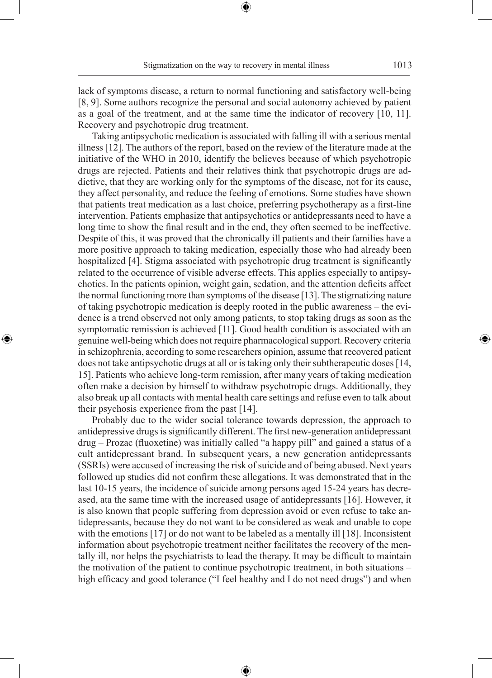◈

lack of symptoms disease, a return to normal functioning and satisfactory well-being [8, 9]. Some authors recognize the personal and social autonomy achieved by patient as a goal of the treatment, and at the same time the indicator of recovery [10, 11]. Recovery and psychotropic drug treatment.

Taking antipsychotic medication is associated with falling ill with a serious mental illness [12]. The authors of the report, based on the review of the literature made at the initiative of the WHO in 2010, identify the believes because of which psychotropic drugs are rejected. Patients and their relatives think that psychotropic drugs are addictive, that they are working only for the symptoms of the disease, not for its cause, they affect personality, and reduce the feeling of emotions. Some studies have shown that patients treat medication as a last choice, preferring psychotherapy as a first-line intervention. Patients emphasize that antipsychotics or antidepressants need to have a long time to show the final result and in the end, they often seemed to be ineffective. Despite of this, it was proved that the chronically ill patients and their families have a more positive approach to taking medication, especially those who had already been hospitalized [4]. Stigma associated with psychotropic drug treatment is significantly related to the occurrence of visible adverse effects. This applies especially to antipsychotics. In the patients opinion, weight gain, sedation, and the attention deficits affect the normal functioning more than symptoms of the disease [13]. The stigmatizing nature of taking psychotropic medication is deeply rooted in the public awareness – the evidence is a trend observed not only among patients, to stop taking drugs as soon as the symptomatic remission is achieved [11]. Good health condition is associated with an genuine well-being which does not require pharmacological support. Recovery criteria in schizophrenia, according to some researchers opinion, assume that recovered patient does not take antipsychotic drugs at all or is taking only their subtherapeutic doses [14, 15]. Patients who achieve long-term remission, after many years of taking medication often make a decision by himself to withdraw psychotropic drugs. Additionally, they also break up all contacts with mental health care settings and refuse even to talk about their psychosis experience from the past [14].

◈

Probably due to the wider social tolerance towards depression, the approach to antidepressive drugs is significantly different. The first new-generation antidepressant drug – Prozac (fluoxetine) was initially called "a happy pill" and gained a status of a cult antidepressant brand. In subsequent years, a new generation antidepressants (SSRIs) were accused of increasing the risk of suicide and of being abused. Next years followed up studies did not confirm these allegations. It was demonstrated that in the last 10-15 years, the incidence of suicide among persons aged 15-24 years has decreased, ata the same time with the increased usage of antidepressants [16]. However, it is also known that people suffering from depression avoid or even refuse to take antidepressants, because they do not want to be considered as weak and unable to cope with the emotions [17] or do not want to be labeled as a mentally ill [18]. Inconsistent information about psychotropic treatment neither facilitates the recovery of the mentally ill, nor helps the psychiatrists to lead the therapy. It may be difficult to maintain the motivation of the patient to continue psychotropic treatment, in both situations – high efficacy and good tolerance ("I feel healthy and I do not need drugs") and when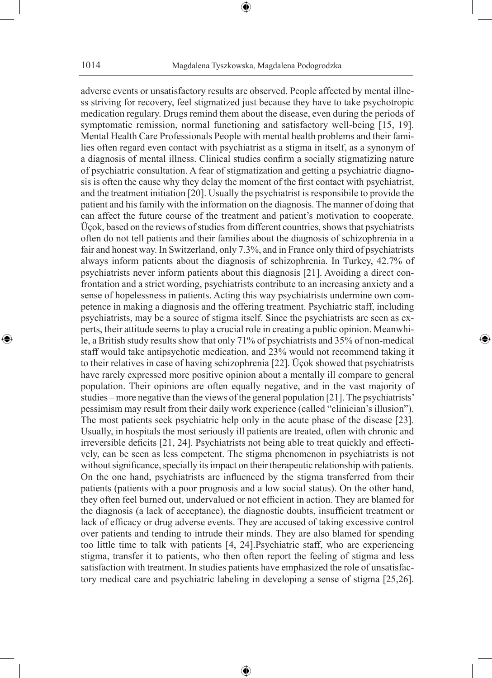adverse events or unsatisfactory results are observed. People affected by mental illness striving for recovery, feel stigmatized just because they have to take psychotropic medication regulary. Drugs remind them about the disease, even during the periods of symptomatic remission, normal functioning and satisfactory well-being [15, 19]. Mental Health Care Professionals People with mental health problems and their families often regard even contact with psychiatrist as a stigma in itself, as a synonym of a diagnosis of mental illness. Clinical studies confirm a socially stigmatizing nature of psychiatric consultation. A fear of stigmatization and getting a psychiatric diagnosis is often the cause why they delay the moment of the first contact with psychiatrist, and the treatment initiation [20]. Usually the psychiatrist is responsibile to provide the patient and his family with the information on the diagnosis. The manner of doing that can affect the future course of the treatment and patient's motivation to cooperate. Üçok, based on the reviews of studies from different countries, shows that psychiatrists often do not tell patients and their families about the diagnosis of schizophrenia in a fair and honest way. In Switzerland, only 7.3%, and in France only third of psychiatrists always inform patients about the diagnosis of schizophrenia. In Turkey, 42.7% of psychiatrists never inform patients about this diagnosis [21]. Avoiding a direct confrontation and a strict wording, psychiatrists contribute to an increasing anxiety and a sense of hopelessness in patients. Acting this way psychiatrists undermine own competence in making a diagnosis and the offering treatment. Psychiatric staff, including psychiatrists, may be a source of stigma itself. Since the psychiatrists are seen as experts, their attitude seems to play a crucial role in creating a public opinion. Meanwhile, a British study results show that only 71% of psychiatrists and 35% of non-medical staff would take antipsychotic medication, and 23% would not recommend taking it to their relatives in case of having schizophrenia [22]. Üçok showed that psychiatrists have rarely expressed more positive opinion about a mentally ill compare to general population. Their opinions are often equally negative, and in the vast majority of studies – more negative than the views of the general population [21]. The psychiatrists' pessimism may result from their daily work experience (called "clinician's illusion"). The most patients seek psychiatric help only in the acute phase of the disease [23]. Usually, in hospitals the most seriously ill patients are treated, often with chronic and irreversible deficits [21, 24]. Psychiatrists not being able to treat quickly and effectively, can be seen as less competent. The stigma phenomenon in psychiatrists is not without significance, specially its impact on their therapeutic relationship with patients. On the one hand, psychiatrists are influenced by the stigma transferred from their patients (patients with a poor prognosis and a low social status). On the other hand, they often feel burned out, undervalued or not efficient in action. They are blamed for the diagnosis (a lack of acceptance), the diagnostic doubts, insufficient treatment or lack of efficacy or drug adverse events. They are accused of taking excessive control over patients and tending to intrude their minds. They are also blamed for spending too little time to talk with patients [4, 24].Psychiatric staff, who are experiencing stigma, transfer it to patients, who then often report the feeling of stigma and less satisfaction with treatment. In studies patients have emphasized the role of unsatisfactory medical care and psychiatric labeling in developing a sense of stigma [25,26].

⊕

◈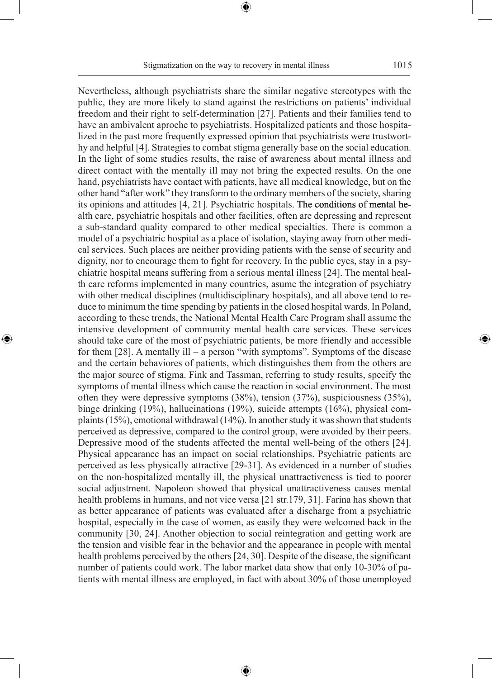Stigmatization on the way to recovery in mental illness 1015

⊕

◈

Nevertheless, although psychiatrists share the similar negative stereotypes with the public, they are more likely to stand against the restrictions on patients' individual freedom and their right to self-determination [27]. Patients and their families tend to have an ambivalent aproche to psychiatrists. Hospitalized patients and those hospitalized in the past more frequently expressed opinion that psychiatrists were trustworthy and helpful [4]. Strategies to combat stigma generally base on the social education. In the light of some studies results, the raise of awareness about mental illness and direct contact with the mentally ill may not bring the expected results. On the one hand, psychiatrists have contact with patients, have all medical knowledge, but on the other hand "after work" they transform to the ordinary members of the society, sharing its opinions and attitudes  $[4, 21]$ . Psychiatric hospitals. The conditions of mental health care, psychiatric hospitals and other facilities, often are depressing and represent a sub-standard quality compared to other medical specialties. There is common a model of a psychiatric hospital as a place of isolation, staying away from other medical services. Such places are neither providing patients with the sense of security and dignity, nor to encourage them to fight for recovery. In the public eyes, stay in a psychiatric hospital means suffering from a serious mental illness [24]. The mental health care reforms implemented in many countries, asume the integration of psychiatry with other medical disciplines (multidisciplinary hospitals), and all above tend to reduce to minimum the time spending by patients in the closed hospital wards. In Poland, according to these trends, the National Mental Health Care Program shall assume the intensive development of community mental health care services. These services should take care of the most of psychiatric patients, be more friendly and accessible for them [28]. A mentally ill – a person "with symptoms". Symptoms of the disease and the certain behaviores of patients, which distinguishes them from the others are the major source of stigma. Fink and Tassman, referring to study results, specify the symptoms of mental illness which cause the reaction in social environment. The most often they were depressive symptoms  $(38\%)$ , tension  $(37\%)$ , suspiciousness  $(35\%)$ , binge drinking (19%), hallucinations (19%), suicide attempts (16%), physical complaints (15%), emotional withdrawal (14%). In another study it was shown that students perceived as depressive, compared to the control group, were avoided by their peers. Depressive mood of the students affected the mental well-being of the others [24]. Physical appearance has an impact on social relationships. Psychiatric patients are perceived as less physically attractive [29-31]. As evidenced in a number of studies on the non-hospitalized mentally ill, the physical unattractiveness is tied to poorer social adjustment. Napoleon showed that physical unattractiveness causes mental health problems in humans, and not vice versa [21 str.179, 31]. Farina has shown that as better appearance of patients was evaluated after a discharge from a psychiatric hospital, especially in the case of women, as easily they were welcomed back in the community [30, 24]. Another objection to social reintegration and getting work are the tension and visible fear in the behavior and the appearance in people with mental health problems perceived by the others [24, 30]. Despite of the disease, the significant number of patients could work. The labor market data show that only 10-30% of patients with mental illness are employed, in fact with about 30% of those unemployed

⊕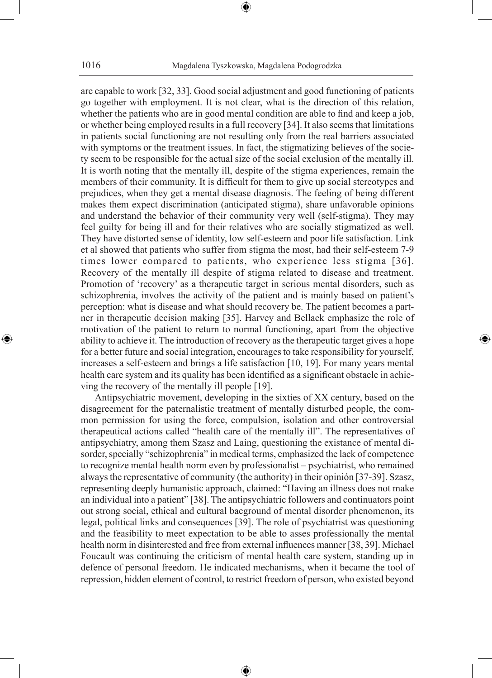are capable to work [32, 33]. Good social adjustment and good functioning of patients go together with employment. It is not clear, what is the direction of this relation, whether the patients who are in good mental condition are able to find and keep a job, or whether being employed results in a full recovery [34]. It also seems that limitations in patients social functioning are not resulting only from the real barriers associated with symptoms or the treatment issues. In fact, the stigmatizing believes of the society seem to be responsible for the actual size of the social exclusion of the mentally ill. It is worth noting that the mentally ill, despite of the stigma experiences, remain the members of their community. It is difficult for them to give up social stereotypes and prejudices, when they get a mental disease diagnosis. The feeling of being different makes them expect discrimination (anticipated stigma), share unfavorable opinions and understand the behavior of their community very well (self-stigma). They may feel guilty for being ill and for their relatives who are socially stigmatized as well. They have distorted sense of identity, low self-esteem and poor life satisfaction. Link et al showed that patients who suffer from stigma the most, had their self-esteem 7-9 times lower compared to patients, who experience less stigma [36]. Recovery of the mentally ill despite of stigma related to disease and treatment. Promotion of 'recovery' as a therapeutic target in serious mental disorders, such as schizophrenia, involves the activity of the patient and is mainly based on patient's perception: what is disease and what should recovery be. The patient becomes a partner in therapeutic decision making [35]. Harvey and Bellack emphasize the role of motivation of the patient to return to normal functioning, apart from the objective ability to achieve it. The introduction of recovery as the therapeutic target gives a hope for a better future and social integration, encourages to take responsibility for yourself, increases a self-esteem and brings a life satisfaction [10, 19]. For many years mental health care system and its quality has been identified as a significant obstacle in achieving the recovery of the mentally ill people [19].

⊕

Antipsychiatric movement, developing in the sixties of XX century, based on the disagreement for the paternalistic treatment of mentally disturbed people, the common permission for using the force, compulsion, isolation and other controversial therapeutical actions called "health care of the mentally ill". The representatives of antipsychiatry, among them Szasz and Laing, questioning the existance of mental disorder, specially "schizophrenia" in medical terms, emphasized the lack of competence to recognize mental health norm even by professionalist – psychiatrist, who remained always the representative of community (the authority) in their opinión [37-39]. Szasz, representing deeply humanistic approach, claimed: "Having an illness does not make an individual into a patient" [38]. The antipsychiatric followers and continuators point out strong social, ethical and cultural bacground of mental disorder phenomenon, its legal, political links and consequences [39]. The role of psychiatrist was questioning and the feasibility to meet expectation to be able to asses professionally the mental health norm in disinterested and free from external influences manner [38, 39]. Michael Foucault was continuing the criticism of mental health care system, standing up in defence of personal freedom. He indicated mechanisms, when it became the tool of repression, hidden element of control, to restrict freedom of person, who existed beyond

⊕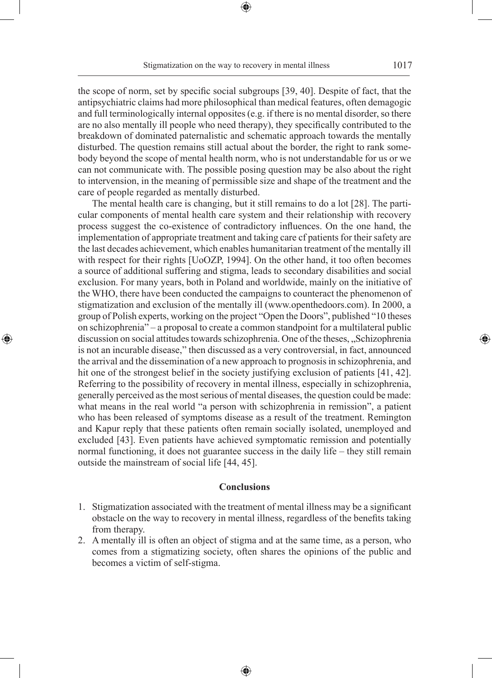the scope of norm, set by specific social subgroups [39, 40]. Despite of fact, that the antipsychiatric claims had more philosophical than medical features, often demagogic and full terminologically internal opposites (e.g. if there is no mental disorder, so there are no also mentally ill people who need therapy), they specifically contributed to the breakdown of dominated paternalistic and schematic approach towards the mentally disturbed. The question remains still actual about the border, the right to rank somebody beyond the scope of mental health norm, who is not understandable for us or we can not communicate with. The possible posing question may be also about the right to intervension, in the meaning of permissible size and shape of the treatment and the care of people regarded as mentally disturbed.

The mental health care is changing, but it still remains to do a lot [28]. The particular components of mental health care system and their relationship with recovery process suggest the co-existence of contradictory influences. On the one hand, the implementation of appropriate treatment and taking care cf patients for their safety are the last decades achievement, which enables humanitarian treatment of the mentally ill with respect for their rights [UoOZP, 1994]. On the other hand, it too often becomes a source of additional suffering and stigma, leads to secondary disabilities and social exclusion. For many years, both in Poland and worldwide, mainly on the initiative of the WHO, there have been conducted the campaigns to counteract the phenomenon of stigmatization and exclusion of the mentally ill (www.openthedoors.com). In 2000, a group of Polish experts, working on the project "Open the Doors", published "10 theses on schizophrenia" – a proposal to create a common standpoint for a multilateral public discussion on social attitudes towards schizophrenia. One of the theses, "Schizophrenia is not an incurable disease," then discussed as a very controversial, in fact, announced the arrival and the dissemination of a new approach to prognosis in schizophrenia, and hit one of the strongest belief in the society justifying exclusion of patients [41, 42]. Referring to the possibility of recovery in mental illness, especially in schizophrenia, generally perceived as the most serious of mental diseases, the question could be made: what means in the real world "a person with schizophrenia in remission", a patient who has been released of symptoms disease as a result of the treatment. Remington and Kapur reply that these patients often remain socially isolated, unemployed and excluded [43]. Even patients have achieved symptomatic remission and potentially normal functioning, it does not guarantee success in the daily life – they still remain outside the mainstream of social life [44, 45].

◈

# **Conclusions**

- 1. Stigmatization associated with the treatment of mental illness may be a significant obstacle on the way to recovery in mental illness, regardless of the benefits taking from therapy.
- 2. A mentally ill is often an object of stigma and at the same time, as a person, who comes from a stigmatizing society, often shares the opinions of the public and becomes a victim of self-stigma.

⊕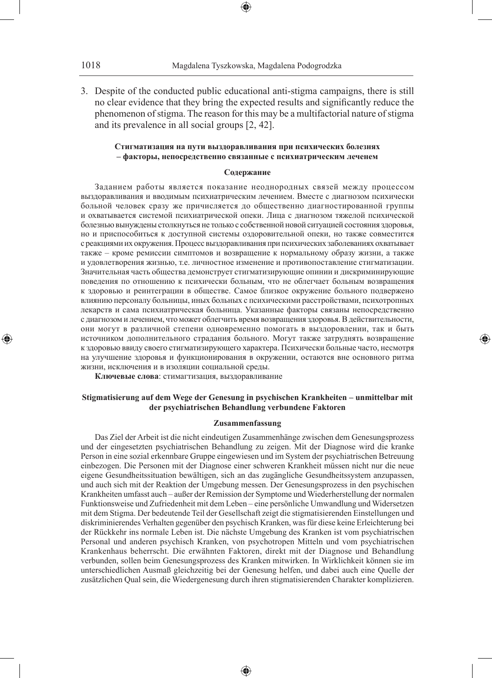1018 Magdalena Tyszkowska, Magdalena Podogrodzka

3. Despite of the conducted public educational anti-stigma campaigns, there is still no clear evidence that they bring the expected results and significantly reduce the phenomenon of stigma. The reason for this may be a multifactorial nature of stigma and its prevalence in all social groups [2, 42].

## **Стигматизация на пути выздоравливания при психических болезнях – факторы, непосредственно связанные с психиатрическим леченем**

#### **Содержание**

Заданием работы является показание неоднородных связей между процессом выздоравливания и вводимым психиатрическим лечением. Вместе с диагнозом психически больной человек сразу же причисляется до общественно диагностированной группы и охватывается системой психиатрической опеки. Лица с диагнозом тяжелой психической болезнью вынуждены столкнуться не только с собственной новой ситуацией состояния здоровья, но и приспособиться к доступной системы оздоровительной опеки, но также совместится с реакциями их окружения. Процесс выздоравливания при психических заболеваниях охватывает также – кроме ремиссии симптомов и возвращение к нормальному образу жизни, а также и удовлетворения жизнью, т.е. личностное изменение и противопоставление стигматизации. Значительная часть общества демонструет стигматизирующие опинии и дискриминирующие поведения по отношению к психически больным, что не облегчает больным возвращения к здоровью и реинтеграции в обществе. Самое близкое окружение больного подвержено влиянию персоналу больницы, иных больных с психическими расстройствами, психотропных лекарств и сама психиатрическая больница. Указанные факторы связаны непосредственно с диагнозом и лечением, что может облегчить время возвращения здоровья. В действительности, они могут в различной степени одновременно помогать в выздоровлении, так и быть источником дополнительного страдания больного. Могут также затруднять возвращение к здоровью ввиду своего стигматизирующего характера. Психически больные часто, несмотря на улучшение здоровья и функционирования в окружении, остаются вне основного ритма жизни, исключения и в изоляции социальной среды.

⊕

**Ключевые слова**: стимагтизация, выздоравливание

### **Stigmatisierung auf dem Wege der Genesung in psychischen Krankheiten – unmittelbar mit der psychiatrischen Behandlung verbundene Faktoren**

#### **Zusammenfassung**

Das Ziel der Arbeit ist die nicht eindeutigen Zusammenhänge zwischen dem Genesungsprozess und der eingesetzten psychiatrischen Behandlung zu zeigen. Mit der Diagnose wird die kranke Person in eine sozial erkennbare Gruppe eingewiesen und im System der psychiatrischen Betreuung einbezogen. Die Personen mit der Diagnose einer schweren Krankheit müssen nicht nur die neue eigene Gesundheitssituation bewältigen, sich an das zugängliche Gesundheitssystem anzupassen, und auch sich mit der Reaktion der Umgebung messen. Der Genesungsprozess in den psychischen Krankheiten umfasst auch – außer der Remission der Symptome und Wiederherstellung der normalen Funktionsweise und Zufriedenheit mit dem Leben – eine persönliche Umwandlung und Widersetzen mit dem Stigma. Der bedeutende Teil der Gesellschaft zeigt die stigmatisierenden Einstellungen und diskriminierendes Verhalten gegenüber den psychisch Kranken, was für diese keine Erleichterung bei der Rückkehr ins normale Leben ist. Die nächste Umgebung des Kranken ist vom psychiatrischen Personal und anderen psychisch Kranken, von psychotropen Mitteln und vom psychiatrischen Krankenhaus beherrscht. Die erwähnten Faktoren, direkt mit der Diagnose und Behandlung verbunden, sollen beim Genesungsprozess des Kranken mitwirken. In Wirklichkeit können sie im unterschiedlichen Ausmaß gleichzeitig bei der Genesung helfen, und dabei auch eine Quelle der zusätzlichen Qual sein, die Wiedergenesung durch ihren stigmatisierenden Charakter komplizieren.

♠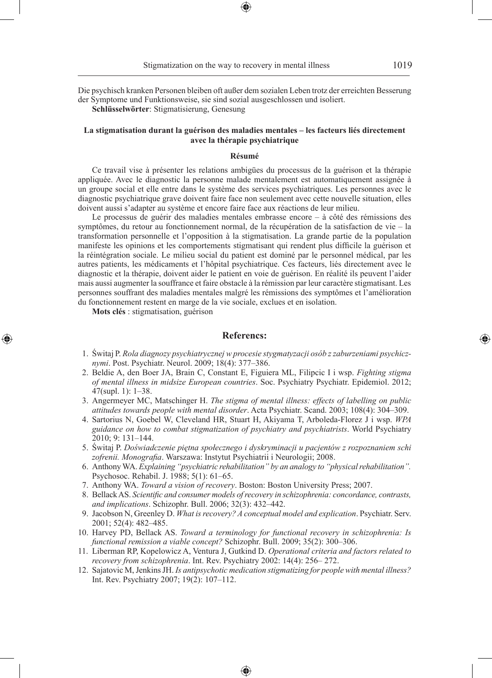Die psychisch kranken Personen bleiben oft außer dem sozialen Leben trotz der erreichten Besserung der Symptome und Funktionsweise, sie sind sozial ausgeschlossen und isoliert.

**Schlüsselwörter**: Stigmatisierung, Genesung

#### **La stigmatisation durant la guérison des maladies mentales – les facteurs liés directement avec la thérapie psychiatrique**

#### **Résumé**

Ce travail vise à présenter les relations ambigües du processus de la guérison et la thérapie appliquée. Avec le diagnostic la personne malade mentalement est automatiquement assignée à un groupe social et elle entre dans le système des services psychiatriques. Les personnes avec le diagnostic psychiatrique grave doivent faire face non seulement avec cette nouvelle situation, elles doivent aussi s'adapter au système et encore faire face aux réactions de leur milieu.

Le processus de guérir des maladies mentales embrasse encore – à côté des rémissions des symptômes, du retour au fonctionnement normal, de la récupération de la satisfaction de vie – la transformation personnelle et l'opposition à la stigmatisation. La grande partie de la population manifeste les opinions et les comportements stigmatisant qui rendent plus difficile la guérison et la réintégration sociale. Le milieu social du patient est dominé par le personnel médical, par les autres patients, les médicaments et l'hôpital psychiatrique. Ces facteurs, liés directement avec le diagnostic et la thérapie, doivent aider le patient en voie de guérison. En réalité ils peuvent l'aider mais aussi augmenter la souffrance et faire obstacle à la rémission par leur caractère stigmatisant. Les personnes souffrant des maladies mentales malgré les rémissions des symptômes et l'amélioration du fonctionnement restent en marge de la vie sociale, exclues et en isolation.

**Mots clés** : stigmatisation, guérison

◈

# **Referencs:**

- 1. Świtaj P. *Rola diagnozy psychiatrycznej w procesie stygmatyzacji osób z zaburzeniami psychicznymi*. Post. Psychiatr. Neurol. 2009; 18(4): 377–386.
- 2. Beldie A, den Boer JA, Brain C, Constant E, Figuiera ML, Filipcic I i wsp. *Fighting stigma of mental illness in midsize European countries*. Soc. Psychiatry Psychiatr. Epidemiol. 2012; 47(supl. 1): 1–38.
- 3. Angermeyer MC, Matschinger H. *The stigma of mental illness: effects of labelling on public attitudes towards people with mental disorder*. Acta Psychiatr. Scand. 2003; 108(4): 304–309.
- 4. Sartorius N, Goebel W, Cleveland HR, Stuart H, Akiyama T, Arboleda-Florez J i wsp. *WPA guidance on how to combat stigmatization of psychiatry and psychiatrists*. World Psychiatry 2010; 9: 131–144.
- 5. Świtaj P. *Doświadczenie piętna społecznego i dyskryminacji u pacjentów z rozpoznaniem schi zofrenii. Monografia*. Warszawa: Instytut Psychiatrii i Neurologii; 2008.
- 6. Anthony WA. *Explaining "psychiatric rehabilitation" by an analogy to "physical rehabilitation".*  Psychosoc. Rehabil. J. 1988; 5(1): 61–65.
- 7. Anthony WA. *Toward a vision of recovery*. Boston: Boston University Press; 2007.
- 8. Bellack AS. *Scientific and consumer models of recovery in schizophrenia: concordance, contrasts, and implications*. Schizophr. Bull. 2006; 32(3): 432–442.
- 9. Jacobson N, Greenley D. *What is recovery? A conceptual model and explication*. Psychiatr. Serv. 2001; 52(4): 482–485.
- 10. Harvey PD, Bellack AS. *Toward a terminology for functional recovery in schizophrenia: Is functional remission a viable concept?* Schizophr. Bull. 2009; 35(2): 300–306.
- 11. Liberman RP, Kopelowicz A, Ventura J, Gutkind D. *Operational criteria and factors related to recovery from schizophrenia*. Int. Rev. Psychiatry 2002: 14(4): 256– 272.
- 12. Sajatovic M, Jenkins JH. *Is antipsychotic medication stigmatizing for people with mental illness?*  Int. Rev. Psychiatry 2007; 19(2): 107–112.

♠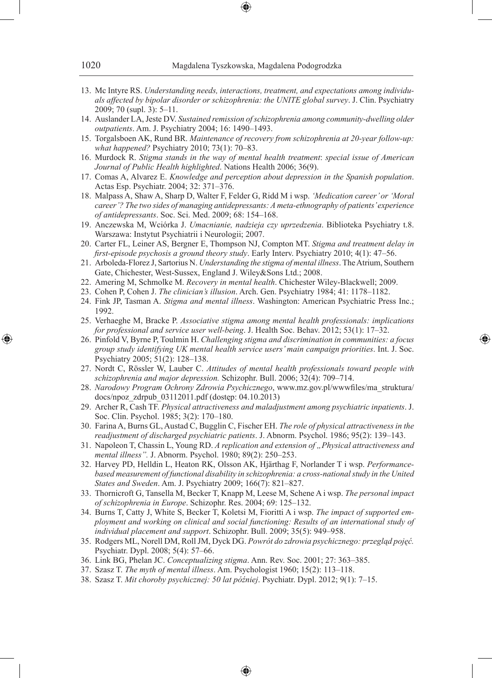- 13. Mc Intyre RS. *Understanding needs, interactions, treatment, and expectations among individuals affected by bipolar disorder or schizophrenia: the UNITE global survey*. J. Clin. Psychiatry 2009; 70 (supl. 3): 5–11.
- 14. Auslander LA, Jeste DV. *Sustained remission of schizophrenia among community-dwelling older outpatients*. Am. J. Psychiatry 2004; 16: 1490–1493.
- 15. Torgalsboen AK, Rund BR. *Maintenance of recovery from schizophrenia at 20-year follow-up: what happened?* Psychiatry 2010; 73(1): 70–83.
- 16. Murdock R. *Stigma stands in the way of mental health treatment*: *special issue of American Journal of Public Health highlighted*. Nations Health 2006; 36(9).
- 17. Comas A, Alvarez E. *Knowledge and perception about depression in the Spanish population*. Actas Esp. Psychiatr. 2004; 32: 371–376.
- 18. Malpass A, Shaw A, Sharp D, Walter F, Felder G, Ridd M i wsp. *'Medication career' or 'Moral career'? The two sides of managing antidepressants: A meta-ethnography of patients' experience of antidepressants*. Soc. Sci. Med. 2009; 68: 154–168.
- 19. Anczewska M, Wciórka J. *Umacnianie, nadzieja czy uprzedzenia*. Biblioteka Psychiatry t.8. Warszawa: Instytut Psychiatrii i Neurologii; 2007.
- 20. Carter FL, Leiner AS, Bergner E, Thompson NJ, Compton MT. *Stigma and treatment delay in first-episode psychosis a ground theory study*. Early Interv. Psychiatry 2010; 4(1): 47–56.
- 21. Arboleda-Florez J, Sartorius N. *Understanding the stigma of mental illness*. The Atrium, Southern Gate, Chichester, West-Sussex, England J. Wiley&Sons Ltd.; 2008.
- 22. Amering M, Schmolke M. *Recovery in mental health*. Chichester Wiley-Blackwell; 2009.
- 23. Cohen P, Cohen J. *The clinician's illusion*. Arch. Gen. Psychiatry 1984; 41: 1178–1182.
- 24. Fink JP, Tasman A. *Stigma and mental illness*. Washington: American Psychiatric Press Inc.; 1992.
- 25. Verhaeghe M, Bracke P. *Associative stigma among mental health professionals: implications for professional and service user well-being*. J. Health Soc. Behav. 2012; 53(1): 17–32.
- 26. Pinfold V, Byrne P, Toulmin H. *Challenging stigma and discrimination in communities: a focus group study identifying UK mental health service users' main campaign priorities*. Int. J. Soc. Psychiatry 2005; 51(2): 128–138.

◈

- 27. Nordt C, Rössler W, Lauber C. *Attitudes of mental health professionals toward people with schizophrenia and major depression.* Schizophr. Bull. 2006; 32(4): 709–714.
- 28. *Narodowy Program Ochrony Zdrowia Psychicznego*, www.mz.gov.pl/wwwfiles/ma\_struktura/ docs/npoz\_zdrpub\_03112011.pdf (dostęp: 04.10.2013)
- 29. Archer R, Cash TF. *Physical attractiveness and maladjustment among psychiatric inpatients*. J. Soc. Clin. Psychol. 1985; 3(2): 170–180.
- 30. Farina A, Burns GL, Austad C, Bugglin C, Fischer EH. *The role of physical attractiveness in the readjustment of discharged psychiatric patients*. J. Abnorm. Psychol. 1986; 95(2): 139–143.
- 31. Napoleon T, Chassin L, Young RD. *A replication and extension of "Physical attractiveness and mental illness".* J. Abnorm. Psychol. 1980; 89(2): 250–253.
- 32. Harvey PD, Helldin L, Heaton RK, Olsson AK, Hjärthag F, Norlander T i wsp. *Performancebased measurement of functional disability in schizophrenia: a cross-national study in the United States and Sweden*. Am. J. Psychiatry 2009; 166(7): 821–827.
- 33. Thornicroft G, Tansella M, Becker T, Knapp M, Leese M, Schene A i wsp. *The personal impact of schizophrenia in Europe*. Schizophr. Res. 2004; 69: 125–132.
- 34. Burns T, Catty J, White S, Becker T, Koletsi M, Fioritti A i wsp. *The impact of supported employment and working on clinical and social functioning: Results of an international study of individual placement and support*. Schizophr. Bull. 2009; 35(5): 949–958.
- 35. Rodgers ML, Norell DM, Roll JM, Dyck DG. *Powrót do zdrowia psychicznego: przegląd pojęć.*  Psychiatr. Dypl. 2008; 5(4): 57–66.

♠

- 36. Link BG, Phelan JC. *Conceptualizing stigma*. Ann. Rev. Soc. 2001; 27: 363–385.
- 37. Szasz T. *The myth of mental illness*. Am. Psychologist 1960; 15(2): 113–118.
- 38. Szasz T. *Mit choroby psychicznej: 50 lat później*. Psychiatr. Dypl. 2012; 9(1): 7–15.